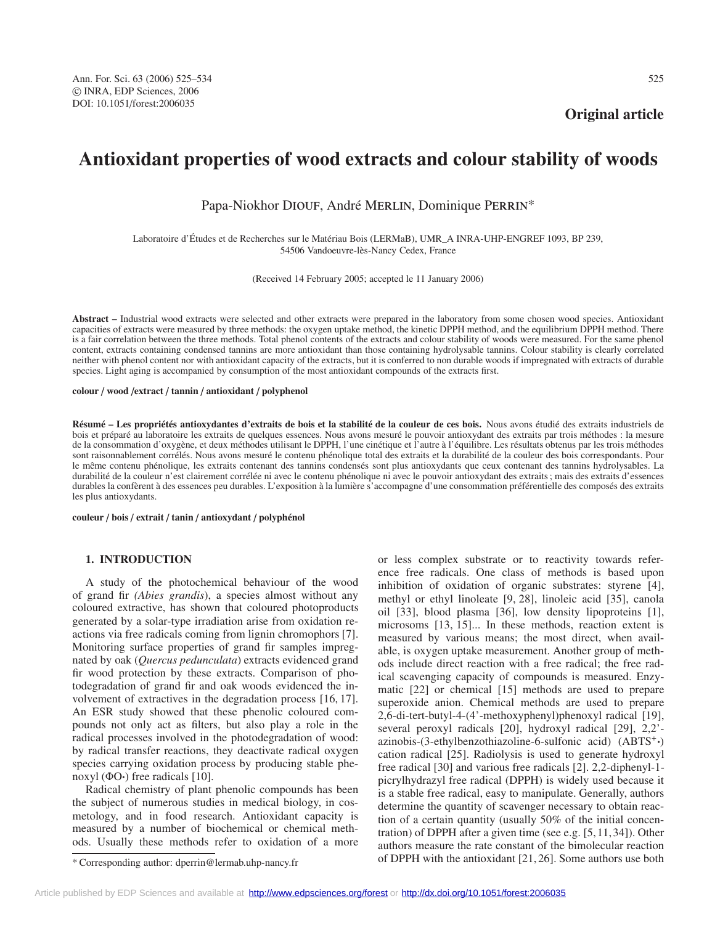**Original article**

# **Antioxidant properties of wood extracts and colour stability of woods**

Papa-Niokhor DIOUF, André MERLIN, Dominique PERRIN\*

Laboratoire d'Études et de Recherches sur le Matériau Bois (LERMaB), UMR\_A INRA-UHP-ENGREF 1093, BP 239, 54506 Vandoeuvre-lès-Nancy Cedex, France

(Received 14 February 2005; accepted le 11 January 2006)

**Abstract –** Industrial wood extracts were selected and other extracts were prepared in the laboratory from some chosen wood species. Antioxidant capacities of extracts were measured by three methods: the oxygen uptake method, the kinetic DPPH method, and the equilibrium DPPH method. There is a fair correlation between the three methods. Total phenol contents of the extracts and colour stability of woods were measured. For the same phenol content, extracts containing condensed tannins are more antioxidant than those containing hydrolysable tannins. Colour stability is clearly correlated neither with phenol content nor with antioxidant capacity of the extracts, but it is conferred to non durable woods if impregnated with extracts of durable species. Light aging is accompanied by consumption of the most antioxidant compounds of the extracts first.

#### **colour** / **wood** /**extract** / **tannin** / **antioxidant** / **polyphenol**

**Résumé – Les propriétés antioxydantes d'extraits de bois et la stabilité de la couleur de ces bois.** Nous avons étudié des extraits industriels de bois et préparé au laboratoire les extraits de quelques essences. Nous avons mesuré le pouvoir antioxydant des extraits par trois méthodes : la mesure de la consommation d'oxygène, et deux méthodes utilisant le DPPH, l'une cinétique et l'autre à l'équilibre. Les résultats obtenus par les trois méthodes sont raisonnablement corrélés. Nous avons mesuré le contenu phénolique total des extraits et la durabilité de la couleur des bois correspondants. Pour le même contenu phénolique, les extraits contenant des tannins condensés sont plus antioxydants que ceux contenant des tannins hydrolysables. La durabilité de la couleur n'est clairement corrélée ni avec le contenu phénolique ni avec le pouvoir antioxydant des extraits ; mais des extraits d'essences durables la confèrent à des essences peu durables. L'exposition à la lumière s'accompagne d'une consommation préférentielle des composés des extraits les plus antioxydants.

**couleur** / **bois** / **extrait** / **tanin** / **antioxydant** / **polyphénol**

# **1. INTRODUCTION**

A study of the photochemical behaviour of the wood of grand fir *(Abies grandis*), a species almost without any coloured extractive, has shown that coloured photoproducts generated by a solar-type irradiation arise from oxidation reactions via free radicals coming from lignin chromophors [7]. Monitoring surface properties of grand fir samples impregnated by oak (*Quercus pedunculata*) extracts evidenced grand fir wood protection by these extracts. Comparison of photodegradation of grand fir and oak woods evidenced the involvement of extractives in the degradation process [16, 17]. An ESR study showed that these phenolic coloured compounds not only act as filters, but also play a role in the radical processes involved in the photodegradation of wood: by radical transfer reactions, they deactivate radical oxygen species carrying oxidation process by producing stable phenoxyl ( $\Phi$ O·) free radicals [10].

Radical chemistry of plant phenolic compounds has been the subject of numerous studies in medical biology, in cosmetology, and in food research. Antioxidant capacity is measured by a number of biochemical or chemical methods. Usually these methods refer to oxidation of a more methyl or ethyl linoleate [9, 28], linoleic acid [35], canola oil [33], blood plasma [36], low density lipoproteins [1], microsoms [13, 15]... In these methods, reaction extent is measured by various means; the most direct, when available, is oxygen uptake measurement. Another group of methods include direct reaction with a free radical; the free radical scavenging capacity of compounds is measured. Enzymatic [22] or chemical [15] methods are used to prepare superoxide anion. Chemical methods are used to prepare 2,6-di-tert-butyl-4-(4'-methoxyphenyl)phenoxyl radical [19], several peroxyl radicals [20], hydroxyl radical [29], 2,2' azinobis-(3-ethylbenzothiazoline-6-sulfonic acid)  $(ABTS^+)$ cation radical [25]. Radiolysis is used to generate hydroxyl free radical [30] and various free radicals [2]. 2,2-diphenyl-1 picrylhydrazyl free radical (DPPH) is widely used because it is a stable free radical, easy to manipulate. Generally, authors determine the quantity of scavenger necessary to obtain reaction of a certain quantity (usually 50% of the initial concentration) of DPPH after a given time (see e.g. [5,11,34]). Other authors measure the rate constant of the bimolecular reaction of DPPH with the antioxidant [21, 26]. Some authors use both

or less complex substrate or to reactivity towards reference free radicals. One class of methods is based upon inhibition of oxidation of organic substrates: styrene [4],

<sup>\*</sup> Corresponding author: dperrin@lermab.uhp-nancy.fr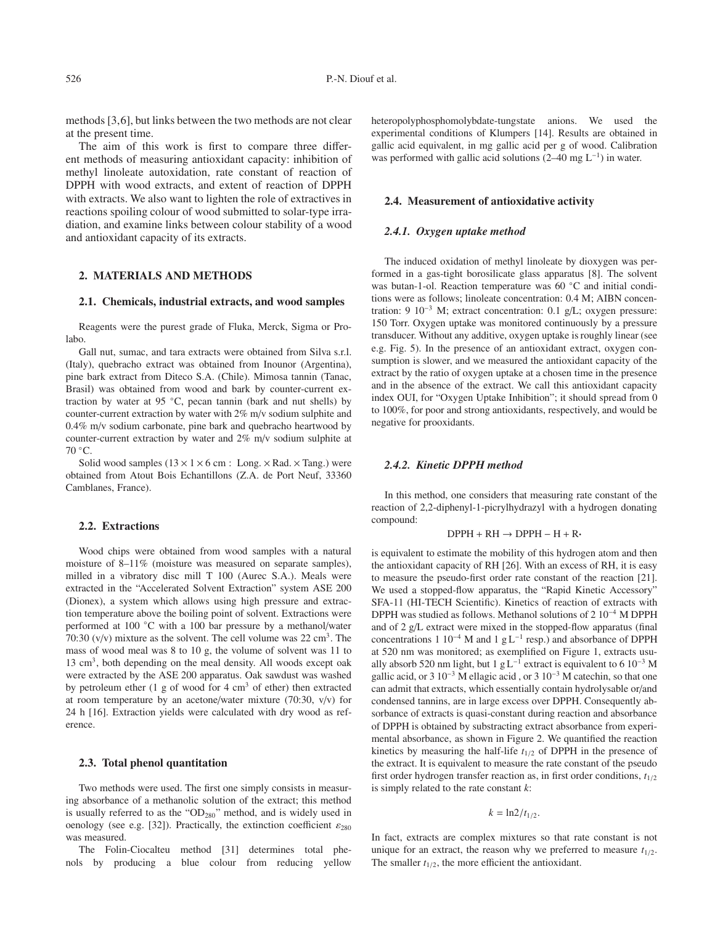methods [3,6], but links between the two methods are not clear at the present time.

The aim of this work is first to compare three different methods of measuring antioxidant capacity: inhibition of methyl linoleate autoxidation, rate constant of reaction of DPPH with wood extracts, and extent of reaction of DPPH with extracts. We also want to lighten the role of extractives in reactions spoiling colour of wood submitted to solar-type irradiation, and examine links between colour stability of a wood and antioxidant capacity of its extracts.

# **2. MATERIALS AND METHODS**

#### **2.1. Chemicals, industrial extracts, and wood samples**

Reagents were the purest grade of Fluka, Merck, Sigma or Prolabo.

Gall nut, sumac, and tara extracts were obtained from Silva s.r.l. (Italy), quebracho extract was obtained from Inounor (Argentina), pine bark extract from Diteco S.A. (Chile). Mimosa tannin (Tanac, Brasil) was obtained from wood and bark by counter-current extraction by water at 95 ◦C, pecan tannin (bark and nut shells) by counter-current extraction by water with 2% m/v sodium sulphite and 0.4% m/v sodium carbonate, pine bark and quebracho heartwood by counter-current extraction by water and 2% m/v sodium sulphite at 70 ◦C.

Solid wood samples  $(13 \times 1 \times 6$  cm : Long.  $\times$  Rad.  $\times$  Tang.) were obtained from Atout Bois Echantillons (Z.A. de Port Neuf, 33360 Camblanes, France).

#### **2.2. Extractions**

Wood chips were obtained from wood samples with a natural moisture of 8–11% (moisture was measured on separate samples), milled in a vibratory disc mill T 100 (Aurec S.A.). Meals were extracted in the "Accelerated Solvent Extraction" system ASE 200 (Dionex), a system which allows using high pressure and extraction temperature above the boiling point of solvent. Extractions were performed at 100 ◦C with a 100 bar pressure by a methanol/water 70:30 ( $v/v$ ) mixture as the solvent. The cell volume was 22 cm<sup>3</sup>. The mass of wood meal was 8 to 10 g, the volume of solvent was 11 to 13 cm3, both depending on the meal density. All woods except oak were extracted by the ASE 200 apparatus. Oak sawdust was washed by petroleum ether (1 g of wood for 4  $\text{cm}^3$  of ether) then extracted at room temperature by an acetone/water mixture (70:30, v/v) for 24 h [16]. Extraction yields were calculated with dry wood as reference.

#### **2.3. Total phenol quantitation**

Two methods were used. The first one simply consists in measuring absorbance of a methanolic solution of the extract; this method is usually referred to as the "OD<sub>280</sub>" method, and is widely used in oenology (see e.g. [32]). Practically, the extinction coefficient  $\varepsilon_{280}$ was measured.

The Folin-Ciocalteu method [31] determines total phenols by producing a blue colour from reducing yellow

heteropolyphosphomolybdate-tungstate anions. We used the experimental conditions of Klumpers [14]. Results are obtained in gallic acid equivalent, in mg gallic acid per g of wood. Calibration was performed with gallic acid solutions (2–40 mg  $L^{-1}$ ) in water.

## **2.4. Measurement of antioxidative activity**

#### *2.4.1. Oxygen uptake method*

The induced oxidation of methyl linoleate by dioxygen was performed in a gas-tight borosilicate glass apparatus [8]. The solvent was butan-1-ol. Reaction temperature was 60 ◦C and initial conditions were as follows; linoleate concentration: 0.4 M; AIBN concentration: 9 10−<sup>3</sup> M; extract concentration: 0.1 g/L; oxygen pressure: 150 Torr. Oxygen uptake was monitored continuously by a pressure transducer. Without any additive, oxygen uptake is roughly linear (see e.g. Fig. 5). In the presence of an antioxidant extract, oxygen consumption is slower, and we measured the antioxidant capacity of the extract by the ratio of oxygen uptake at a chosen time in the presence and in the absence of the extract. We call this antioxidant capacity index OUI, for "Oxygen Uptake Inhibition"; it should spread from 0 to 100%, for poor and strong antioxidants, respectively, and would be negative for prooxidants.

## *2.4.2. Kinetic DPPH method*

In this method, one considers that measuring rate constant of the reaction of 2,2-diphenyl-1-picrylhydrazyl with a hydrogen donating compound:

#### $DPPH + RH \rightarrow DPPH - H + R \cdot$

is equivalent to estimate the mobility of this hydrogen atom and then the antioxidant capacity of RH [26]. With an excess of RH, it is easy to measure the pseudo-first order rate constant of the reaction [21]. We used a stopped-flow apparatus, the "Rapid Kinetic Accessory" SFA-11 (HI-TECH Scientific). Kinetics of reaction of extracts with DPPH was studied as follows. Methanol solutions of 2 10−<sup>4</sup> M DPPH and of 2 g/L extract were mixed in the stopped-flow apparatus (final concentrations 1 10−<sup>4</sup> M and 1 g L−<sup>1</sup> resp.) and absorbance of DPPH at 520 nm was monitored; as exemplified on Figure 1, extracts usually absorb 520 nm light, but 1 g L<sup>-1</sup> extract is equivalent to 6 10<sup>-3</sup> M gallic acid, or 3  $10^{-3}$  M ellagic acid, or 3  $10^{-3}$  M catechin, so that one can admit that extracts, which essentially contain hydrolysable or/and condensed tannins, are in large excess over DPPH. Consequently absorbance of extracts is quasi-constant during reaction and absorbance of DPPH is obtained by substracting extract absorbance from experimental absorbance, as shown in Figure 2. We quantified the reaction kinetics by measuring the half-life  $t_{1/2}$  of DPPH in the presence of the extract. It is equivalent to measure the rate constant of the pseudo first order hydrogen transfer reaction as, in first order conditions,  $t_{1/2}$ is simply related to the rate constant *k*:

$$
k=\ln 2/t_{1/2}.
$$

In fact, extracts are complex mixtures so that rate constant is not unique for an extract, the reason why we preferred to measure  $t_{1/2}$ . The smaller  $t_{1/2}$ , the more efficient the antioxidant.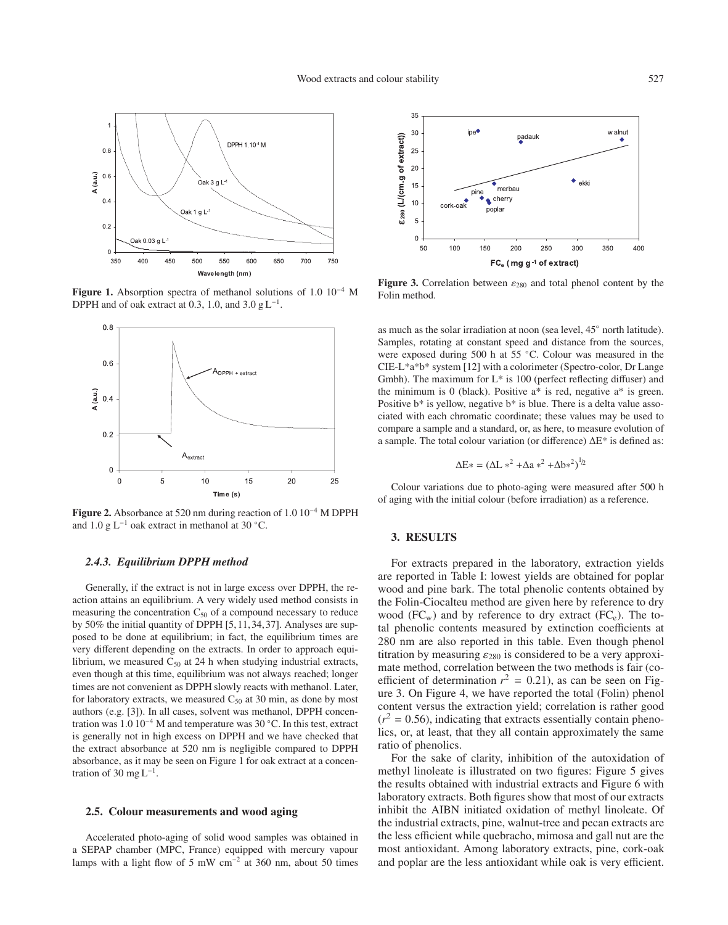

**Figure 1.** Absorption spectra of methanol solutions of 1.0 10−<sup>4</sup> M DPPH and of oak extract at 0.3, 1.0, and 3.0  $g L^{-1}$ .



**Figure 2.** Absorbance at 520 nm during reaction of 1.0 10−<sup>4</sup> M DPPH and 1.0 g L−<sup>1</sup> oak extract in methanol at 30 ◦C.

## *2.4.3. Equilibrium DPPH method*

Generally, if the extract is not in large excess over DPPH, the reaction attains an equilibrium. A very widely used method consists in measuring the concentration  $C_{50}$  of a compound necessary to reduce by 50% the initial quantity of DPPH [5,11,34,37]. Analyses are supposed to be done at equilibrium; in fact, the equilibrium times are very different depending on the extracts. In order to approach equilibrium, we measured  $C_{50}$  at 24 h when studying industrial extracts, even though at this time, equilibrium was not always reached; longer times are not convenient as DPPH slowly reacts with methanol. Later, for laboratory extracts, we measured  $C_{50}$  at 30 min, as done by most authors (e.g. [3]). In all cases, solvent was methanol, DPPH concentration was 1.0 10−<sup>4</sup> M and temperature was 30 ◦C. In this test, extract is generally not in high excess on DPPH and we have checked that the extract absorbance at 520 nm is negligible compared to DPPH absorbance, as it may be seen on Figure 1 for oak extract at a concentration of 30 mg  $L^{-1}$ .

### **2.5. Colour measurements and wood aging**

Accelerated photo-aging of solid wood samples was obtained in a SEPAP chamber (MPC, France) equipped with mercury vapour lamps with a light flow of 5 mW cm−<sup>2</sup> at 360 nm, about 50 times



**Figure 3.** Correlation between  $\varepsilon_{280}$  and total phenol content by the Folin method.

as much as the solar irradiation at noon (sea level, 45◦ north latitude). Samples, rotating at constant speed and distance from the sources, were exposed during 500 h at 55 °C. Colour was measured in the CIE-L\*a\*b\* system [12] with a colorimeter (Spectro-color, Dr Lange Gmbh). The maximum for  $L^*$  is 100 (perfect reflecting diffuser) and the minimum is 0 (black). Positive  $a^*$  is red, negative  $a^*$  is green. Positive b\* is yellow, negative b\* is blue. There is a delta value associated with each chromatic coordinate; these values may be used to compare a sample and a standard, or, as here, to measure evolution of a sample. The total colour variation (or difference) ∆E\* is defined as:

$$
\Delta E* = (\Delta L *^2 + \Delta a *^2 + \Delta b *^2)^{1/2}
$$

Colour variations due to photo-aging were measured after 500 h of aging with the initial colour (before irradiation) as a reference.

# **3. RESULTS**

For extracts prepared in the laboratory, extraction yields are reported in Table I: lowest yields are obtained for poplar wood and pine bark. The total phenolic contents obtained by the Folin-Ciocalteu method are given here by reference to dry wood  $(FC_w)$  and by reference to dry extract  $(FC_e)$ . The total phenolic contents measured by extinction coefficients at 280 nm are also reported in this table. Even though phenol titration by measuring  $\varepsilon_{280}$  is considered to be a very approximate method, correlation between the two methods is fair (coefficient of determination  $r^2 = 0.21$ ), as can be seen on Figure 3. On Figure 4, we have reported the total (Folin) phenol content versus the extraction yield; correlation is rather good  $(r^2 = 0.56)$ , indicating that extracts essentially contain phenolics, or, at least, that they all contain approximately the same ratio of phenolics.

For the sake of clarity, inhibition of the autoxidation of methyl linoleate is illustrated on two figures: Figure 5 gives the results obtained with industrial extracts and Figure 6 with laboratory extracts. Both figures show that most of our extracts inhibit the AIBN initiated oxidation of methyl linoleate. Of the industrial extracts, pine, walnut-tree and pecan extracts are the less efficient while quebracho, mimosa and gall nut are the most antioxidant. Among laboratory extracts, pine, cork-oak and poplar are the less antioxidant while oak is very efficient.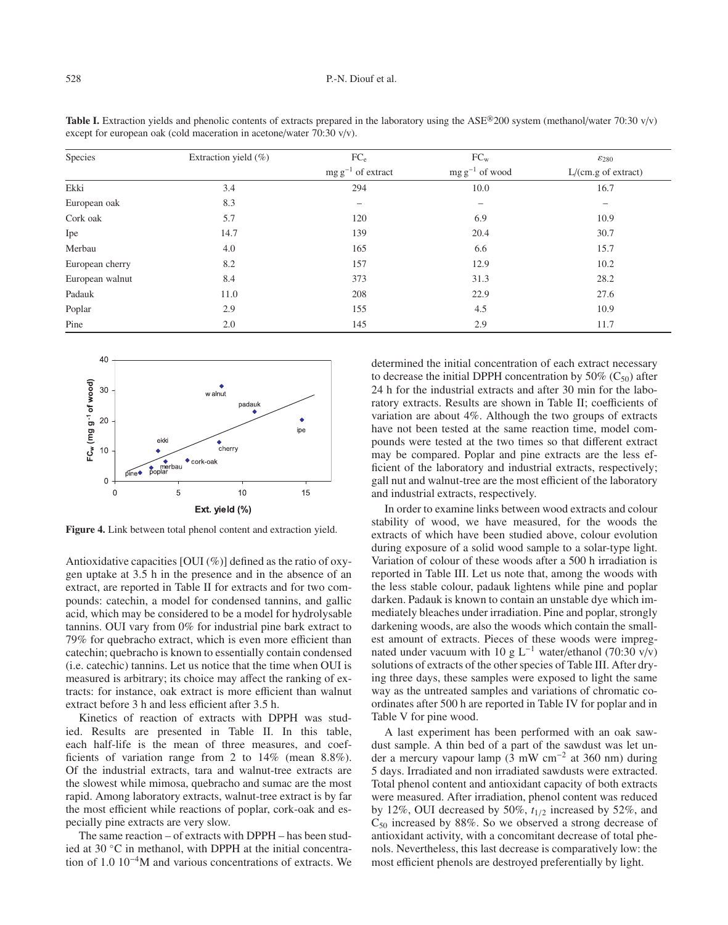| Species         | Extraction yield $(\%)$ | FC <sub>e</sub>        | $FC_{w}$                 | $\varepsilon_{280}$ |
|-----------------|-------------------------|------------------------|--------------------------|---------------------|
|                 |                         | $mg g^{-1}$ of extract | $mg g^{-1}$ of wood      | L/(cm.g of extract) |
| Ekki            | 3.4                     | 294                    | 10.0                     | 16.7                |
| European oak    | 8.3                     | -                      | $\overline{\phantom{0}}$ | -                   |
| Cork oak        | 5.7                     | 120                    | 6.9                      | 10.9                |
| Ipe             | 14.7                    | 139                    | 20.4                     | 30.7                |
| Merbau          | 4.0                     | 165                    | 6.6                      | 15.7                |
| European cherry | 8.2                     | 157                    | 12.9                     | 10.2                |
| European walnut | 8.4                     | 373                    | 31.3                     | 28.2                |
| Padauk          | 11.0                    | 208                    | 22.9                     | 27.6                |
| Poplar          | 2.9                     | 155                    | 4.5                      | 10.9                |
| Pine            | 2.0                     | 145                    | 2.9                      | 11.7                |

**Table I.** Extraction yields and phenolic contents of extracts prepared in the laboratory using the ASE<sup>®</sup>200 system (methanol/water 70:30 v/v) except for european oak (cold maceration in acetone/water 70:30 v/v).



**Figure 4.** Link between total phenol content and extraction yield.

Antioxidative capacities  $[OUI (\%)]$  defined as the ratio of oxygen uptake at 3.5 h in the presence and in the absence of an extract, are reported in Table II for extracts and for two compounds: catechin, a model for condensed tannins, and gallic acid, which may be considered to be a model for hydrolysable tannins. OUI vary from 0% for industrial pine bark extract to 79% for quebracho extract, which is even more efficient than catechin; quebracho is known to essentially contain condensed (i.e. catechic) tannins. Let us notice that the time when OUI is measured is arbitrary; its choice may affect the ranking of extracts: for instance, oak extract is more efficient than walnut extract before 3 h and less efficient after 3.5 h.

Kinetics of reaction of extracts with DPPH was studied. Results are presented in Table II. In this table, each half-life is the mean of three measures, and coefficients of variation range from 2 to 14% (mean 8.8%). Of the industrial extracts, tara and walnut-tree extracts are the slowest while mimosa, quebracho and sumac are the most rapid. Among laboratory extracts, walnut-tree extract is by far the most efficient while reactions of poplar, cork-oak and especially pine extracts are very slow.

The same reaction – of extracts with DPPH – has been studied at 30 ◦C in methanol, with DPPH at the initial concentration of 1.0 10−4M and various concentrations of extracts. We determined the initial concentration of each extract necessary to decrease the initial DPPH concentration by 50%  $(C_{50})$  after 24 h for the industrial extracts and after 30 min for the laboratory extracts. Results are shown in Table II; coefficients of variation are about 4%. Although the two groups of extracts have not been tested at the same reaction time, model compounds were tested at the two times so that different extract may be compared. Poplar and pine extracts are the less efficient of the laboratory and industrial extracts, respectively; gall nut and walnut-tree are the most efficient of the laboratory and industrial extracts, respectively.

In order to examine links between wood extracts and colour stability of wood, we have measured, for the woods the extracts of which have been studied above, colour evolution during exposure of a solid wood sample to a solar-type light. Variation of colour of these woods after a 500 h irradiation is reported in Table III. Let us note that, among the woods with the less stable colour, padauk lightens while pine and poplar darken. Padauk is known to contain an unstable dye which immediately bleaches under irradiation. Pine and poplar, strongly darkening woods, are also the woods which contain the smallest amount of extracts. Pieces of these woods were impregnated under vacuum with 10 g L<sup>-1</sup> water/ethanol (70:30 v/v) solutions of extracts of the other species of Table III. After drying three days, these samples were exposed to light the same way as the untreated samples and variations of chromatic coordinates after 500 h are reported in Table IV for poplar and in Table V for pine wood.

A last experiment has been performed with an oak sawdust sample. A thin bed of a part of the sawdust was let under a mercury vapour lamp ( $\overline{3}$  mW cm<sup>-2</sup> at 360 nm) during 5 days. Irradiated and non irradiated sawdusts were extracted. Total phenol content and antioxidant capacity of both extracts were measured. After irradiation, phenol content was reduced by 12%, OUI decreased by 50%, *t*1/<sup>2</sup> increased by 52%, and  $C_{50}$  increased by 88%. So we observed a strong decrease of antioxidant activity, with a concomitant decrease of total phenols. Nevertheless, this last decrease is comparatively low: the most efficient phenols are destroyed preferentially by light.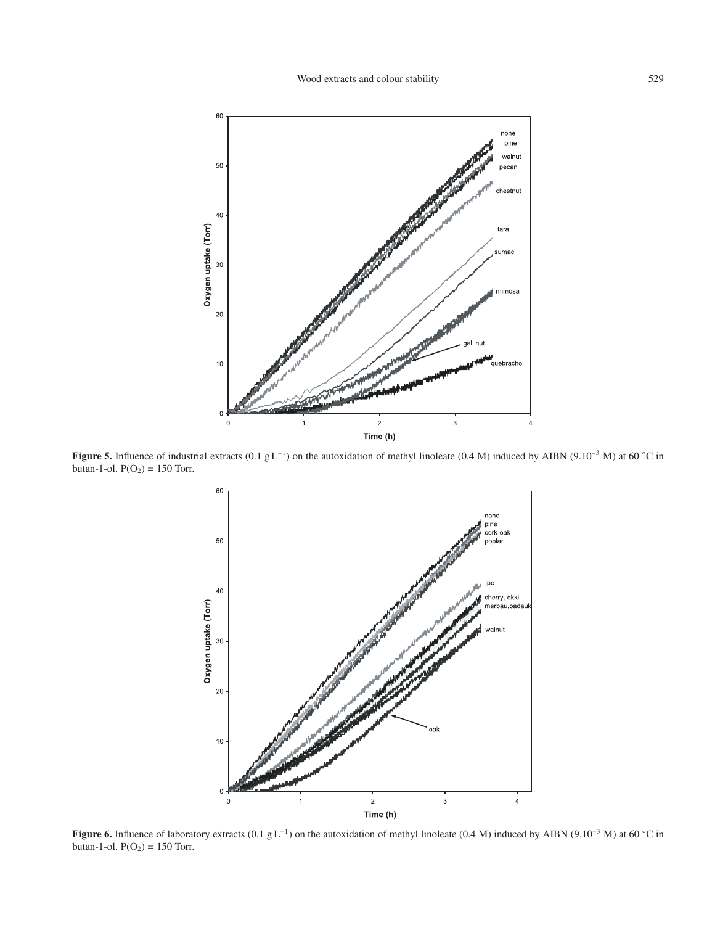

**Figure 5.** Influence of industrial extracts (0.1 g L−1) on the autoxidation of methyl linoleate (0.4 M) induced by AIBN (9.10−<sup>3</sup> M) at 60 ◦C in butan-1-ol.  $P(O_2) = 150$  Torr.



**Figure 6.** Influence of laboratory extracts (0.1 g L−1) on the autoxidation of methyl linoleate (0.4 M) induced by AIBN (9.10−<sup>3</sup> M) at 60 ◦C in butan-1-ol.  $P(O_2) = 150$  Torr.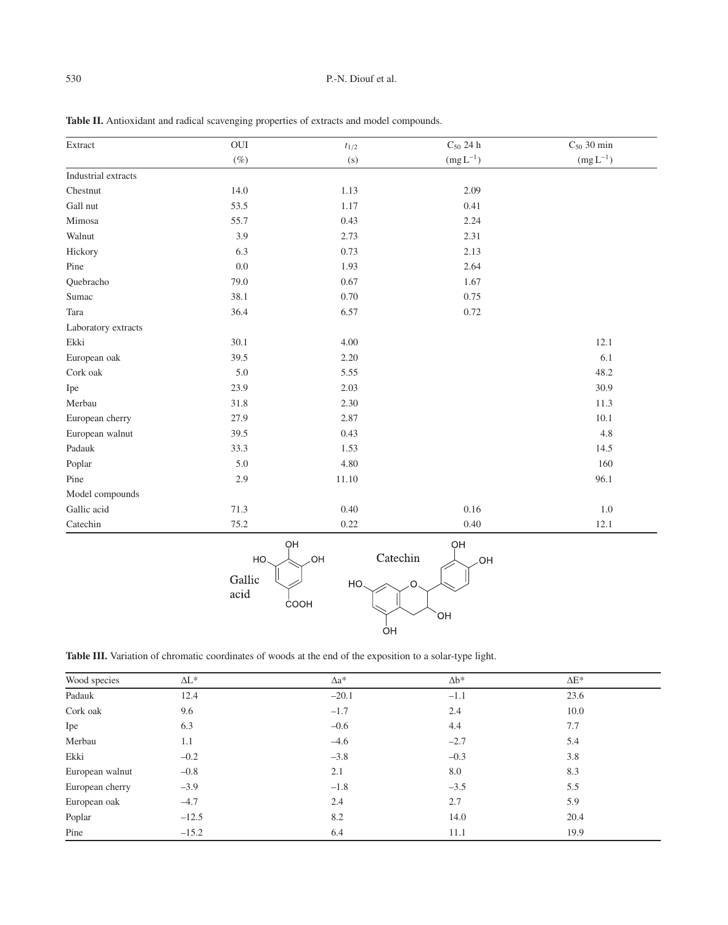| Extract             | $\rm \,OUI$    | $t_{1/2}$             | $\mathrm{C}_{50}$ 24 h | $C_{50}$ 30 min |
|---------------------|----------------|-----------------------|------------------------|-----------------|
|                     | $(\%)$         | (s)                   | $(mg L^{-1})$          | $(mg L^{-1})$   |
| Industrial extracts |                |                       |                        |                 |
| Chestnut            | 14.0           | 1.13                  | 2.09                   |                 |
| Gall nut            | 53.5           | 1.17                  | 0.41                   |                 |
| Mimosa              | 55.7           | 0.43                  | 2.24                   |                 |
| Walnut              | 3.9            | 2.73                  | 2.31                   |                 |
| Hickory             | 6.3            | 0.73                  | 2.13                   |                 |
| Pine                | $0.0\,$        | 1.93                  | 2.64                   |                 |
| Quebracho           | 79.0           | 0.67                  | 1.67                   |                 |
| Sumac               | 38.1           | 0.70                  | 0.75                   |                 |
| Tara                | 36.4           | 6.57                  | 0.72                   |                 |
| Laboratory extracts |                |                       |                        |                 |
| Ekki                | 30.1           | 4.00                  |                        | 12.1            |
| European oak        | 39.5           | 2.20                  |                        | 6.1             |
| Cork oak            | 5.0            | 5.55                  |                        | 48.2            |
| Ipe                 | 23.9           | 2.03                  |                        | 30.9            |
| Merbau              | 31.8           | 2.30                  |                        | 11.3            |
| European cherry     | 27.9           | 2.87                  |                        | $10.1\,$        |
| European walnut     | 39.5           | 0.43                  |                        | 4.8             |
| Padauk              | 33.3           | 1.53                  |                        | 14.5            |
| Poplar              | 5.0            | 4.80                  |                        | 160             |
| Pine                | 2.9            | 11.10                 |                        | 96.1            |
| Model compounds     |                |                       |                        |                 |
| Gallic acid         | 71.3           | 0.40                  | 0.16                   | $1.0\,$         |
| Catechin            | 75.2           | 0.22                  | 0.40                   | 12.1            |
|                     | HO.            | OH<br>Catechin<br>OH. | OH<br>OH               |                 |
|                     | Gallic<br>acid | HO.<br>COOH           | O                      |                 |

**Table II.** Antioxidant and radical scavenging properties of extracts and model compounds.

|  |  |  |  | Table III. Variation of chromatic coordinates of woods at the end of the exposition to a solar-type light. |  |  |  |  |  |  |  |  |  |  |  |  |  |  |
|--|--|--|--|------------------------------------------------------------------------------------------------------------|--|--|--|--|--|--|--|--|--|--|--|--|--|--|
|--|--|--|--|------------------------------------------------------------------------------------------------------------|--|--|--|--|--|--|--|--|--|--|--|--|--|--|

| Wood species    | $\Delta L^*$ | ∆a*     | $\Delta b^*$ | $\Delta E^*$ |
|-----------------|--------------|---------|--------------|--------------|
| Padauk          | 12.4         | $-20.1$ | $-1.1$       | 23.6         |
| Cork oak        | 9.6          | $-1.7$  | 2.4          | 10.0         |
| Ipe             | 6.3          | $-0.6$  | 4.4          | 7.7          |
| Merbau          | 1.1          | $-4.6$  | $-2.7$       | 5.4          |
| Ekki            | $-0.2$       | $-3.8$  | $-0.3$       | 3.8          |
| European walnut | $-0.8$       | 2.1     | 8.0          | 8.3          |
| European cherry | $-3.9$       | $-1.8$  | $-3.5$       | 5.5          |
| European oak    | $-4.7$       | 2.4     | 2.7          | 5.9          |
| Poplar          | $-12.5$      | 8.2     | 14.0         | 20.4         |
| Pine            | $-15.2$      | 6.4     | 11.1         | 19.9         |

 $\frac{1}{O}H$ 

`OH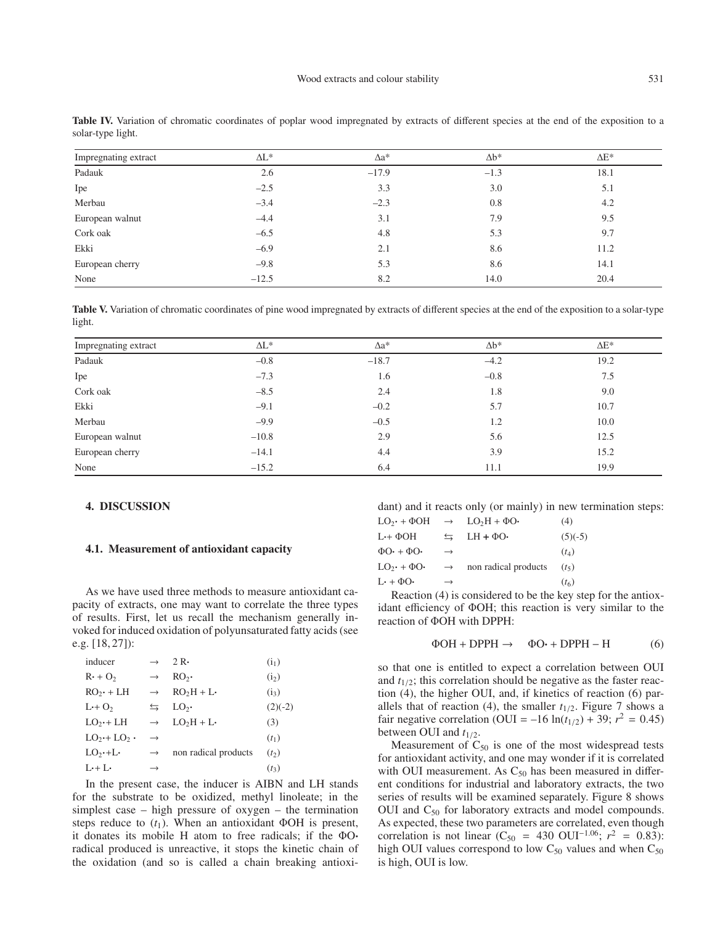| Impregnating extract | $\Delta L^*$ | $\Delta a^*$ | $\Delta b^*$ | $\Delta E^*$ |
|----------------------|--------------|--------------|--------------|--------------|
| Padauk               | 2.6          | $-17.9$      | $-1.3$       | 18.1         |
| Ipe                  | $-2.5$       | 3.3          | 3.0          | 5.1          |
| Merbau               | $-3.4$       | $-2.3$       | 0.8          | 4.2          |
| European walnut      | $-4.4$       | 3.1          | 7.9          | 9.5          |
| Cork oak             | $-6.5$       | 4.8          | 5.3          | 9.7          |
| Ekki                 | $-6.9$       | 2.1          | 8.6          | 11.2         |
| European cherry      | $-9.8$       | 5.3          | 8.6          | 14.1         |
| None                 | $-12.5$      | 8.2          | 14.0         | 20.4         |

Table IV. Variation of chromatic coordinates of poplar wood impregnated by extracts of different species at the end of the exposition to a solar-type light.

Table V. Variation of chromatic coordinates of pine wood impregnated by extracts of different species at the end of the exposition to a solar-type light.

| Impregnating extract | $\Delta L^*$ | $\Delta a^*$ | $\Lambda$ <sub>b</sub> * | $\Delta E^*$ |
|----------------------|--------------|--------------|--------------------------|--------------|
| Padauk               | $-0.8$       | $-18.7$      | $-4.2$                   | 19.2         |
| Ipe                  | $-7.3$       | 1.6          | $-0.8$                   | 7.5          |
| Cork oak             | $-8.5$       | 2.4          | 1.8                      | 9.0          |
| Ekki                 | $-9.1$       | $-0.2$       | 5.7                      | 10.7         |
| Merbau               | $-9.9$       | $-0.5$       | 1.2                      | 10.0         |
| European walnut      | $-10.8$      | 2.9          | 5.6                      | 12.5         |
| European cherry      | $-14.1$      | 4.4          | 3.9                      | 15.2         |
| None                 | $-15.2$      | 6.4          | 11.1                     | 19.9         |

## **4. DISCUSSION**

#### **4.1. Measurement of antioxidant capacity**

As we have used three methods to measure antioxidant capacity of extracts, one may want to correlate the three types of results. First, let us recall the mechanism generally invoked for induced oxidation of polyunsaturated fatty acids (see e.g. [18, 27]):

| inducer           | $\rightarrow$      | $2R -$               | $(i_1)$           |
|-------------------|--------------------|----------------------|-------------------|
| $R \cdot + O_2$   | $\rightarrow$      | RO <sub>2</sub>      | (i <sub>2</sub> ) |
| $RO_2 + LH$       | $\rightarrow$      | $RO2H + L$           | $(i_3)$           |
| $L+O2$            | $\leftrightarrows$ | LO <sub>2</sub> .    | $(2)(-2)$         |
| $LO_{2}$ + LH     | $\rightarrow$      | $LO2H + L$           | (3)               |
| $LO_{2}+LO_{2}$ . | $\rightarrow$      |                      | $(t_1)$           |
| $LO_{2}$ .+L.     | $\rightarrow$      | non radical products | (t <sub>2</sub> ) |
| $L+L$             | $\rightarrow$      |                      | $(t_3)$           |
|                   |                    |                      |                   |

In the present case, the inducer is AIBN and LH stands for the substrate to be oxidized, methyl linoleate; in the simplest case – high pressure of oxygen – the termination steps reduce to  $(t_1)$ . When an antioxidant ΦOH is present, it donates its mobile H atom to free radicals; if the ΦO· radical produced is unreactive, it stops the kinetic chain of the oxidation (and so is called a chain breaking antioxidant) and it reacts only (or mainly) in new termination steps:

| $LO_{2}$ + $\Phi$ OH                | $\rightarrow$        | $LO2H + \Phi O$      | (4)               |
|-------------------------------------|----------------------|----------------------|-------------------|
| L++ ΦOH                             | $\rightleftharpoons$ | $LH + \Phi O \cdot$  | $(5)(-5)$         |
| $\Phi$ O $\cdot$ + $\Phi$ O $\cdot$ | $\rightarrow$        |                      | $(t_4)$           |
| $LO_{2}$ + $\Phi$ O $\cdot$         | $\rightarrow$        | non radical products | (t <sub>5</sub> ) |
| $L \cdot + \Phi O \cdot$            | $\rightarrow$        |                      | $(t_6)$           |
|                                     |                      |                      |                   |

Reaction (4) is considered to be the key step for the antioxidant efficiency of ΦOH; this reaction is very similar to the reaction of ΦOH with DPPH:

$$
\Phi \text{OH} + \text{DPPH} \rightarrow \Phi \text{O} \cdot + \text{DPPH} - \text{H}
$$
 (6)

so that one is entitled to expect a correlation between OUI and  $t_{1/2}$ ; this correlation should be negative as the faster reaction (4), the higher OUI, and, if kinetics of reaction (6) parallels that of reaction (4), the smaller  $t_{1/2}$ . Figure 7 shows a fair negative correlation (OUI = –16  $ln(t_{1/2})$  + 39;  $r^2 = 0.45$ ) between OUI and *t*1/2.

Measurement of  $C_{50}$  is one of the most widespread tests for antioxidant activity, and one may wonder if it is correlated with OUI measurement. As  $C_{50}$  has been measured in different conditions for industrial and laboratory extracts, the two series of results will be examined separately. Figure 8 shows OUI and  $C_{50}$  for laboratory extracts and model compounds. As expected, these two parameters are correlated, even though correlation is not linear (C<sub>50</sub> = 430 OUI<sup>-1.06</sup>;  $r^2$  = 0.83): high OUI values correspond to low  $C_{50}$  values and when  $C_{50}$ is high, OUI is low.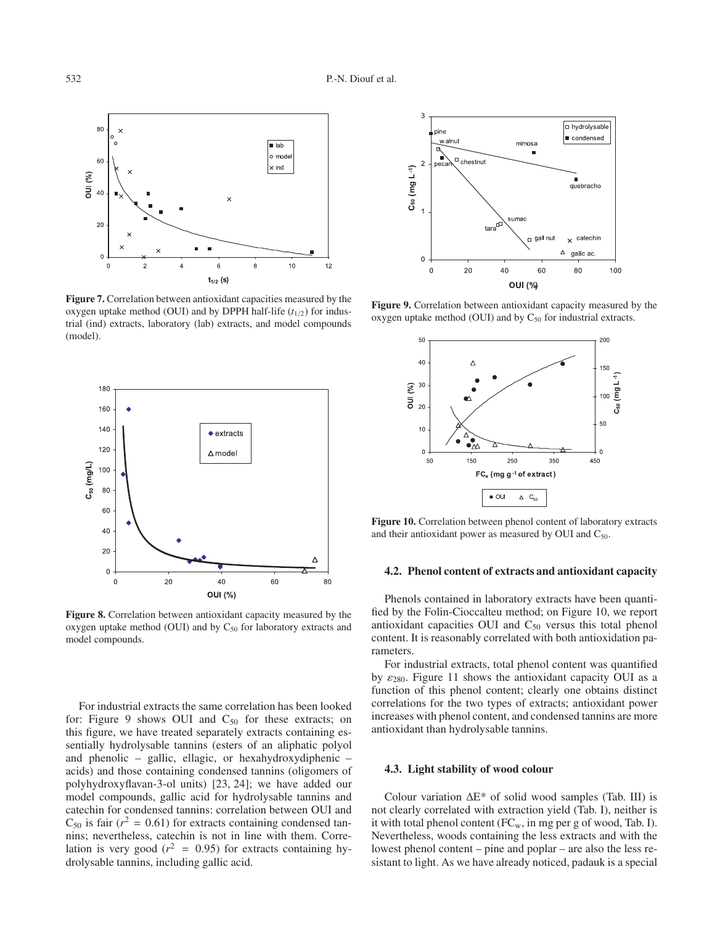

**Figure 7.** Correlation between antioxidant capacities measured by the oxygen uptake method (OUI) and by DPPH half-life  $(t_{1/2})$  for industrial (ind) extracts, laboratory (lab) extracts, and model compounds (model).



**Figure 8.** Correlation between antioxidant capacity measured by the oxygen uptake method (OUI) and by  $C_{50}$  for laboratory extracts and model compounds.

For industrial extracts the same correlation has been looked for: Figure 9 shows OUI and  $C_{50}$  for these extracts; on this figure, we have treated separately extracts containing essentially hydrolysable tannins (esters of an aliphatic polyol and phenolic – gallic, ellagic, or hexahydroxydiphenic – acids) and those containing condensed tannins (oligomers of polyhydroxyflavan-3-ol units) [23, 24]; we have added our model compounds, gallic acid for hydrolysable tannins and catechin for condensed tannins: correlation between OUI and  $C_{50}$  is fair ( $r^2 = 0.61$ ) for extracts containing condensed tannins; nevertheless, catechin is not in line with them. Correlation is very good ( $r^2$  = 0.95) for extracts containing hydrolysable tannins, including gallic acid.



**Figure 9.** Correlation between antioxidant capacity measured by the oxygen uptake method (OUI) and by  $C_{50}$  for industrial extracts.



**Figure 10.** Correlation between phenol content of laboratory extracts and their antioxidant power as measured by OUI and  $C_{50}$ .

## **4.2. Phenol content of extracts and antioxidant capacity**

Phenols contained in laboratory extracts have been quantified by the Folin-Cioccalteu method; on Figure 10, we report antioxidant capacities OUI and  $C_{50}$  versus this total phenol content. It is reasonably correlated with both antioxidation parameters.

For industrial extracts, total phenol content was quantified by  $\varepsilon_{280}$ . Figure 11 shows the antioxidant capacity OUI as a function of this phenol content; clearly one obtains distinct correlations for the two types of extracts; antioxidant power increases with phenol content, and condensed tannins are more antioxidant than hydrolysable tannins.

#### **4.3. Light stability of wood colour**

Colour variation ∆E\* of solid wood samples (Tab. III) is not clearly correlated with extraction yield (Tab. I), neither is it with total phenol content  $(FC_w, in mg per g of wood, Tab. I)$ . Nevertheless, woods containing the less extracts and with the lowest phenol content – pine and poplar – are also the less resistant to light. As we have already noticed, padauk is a special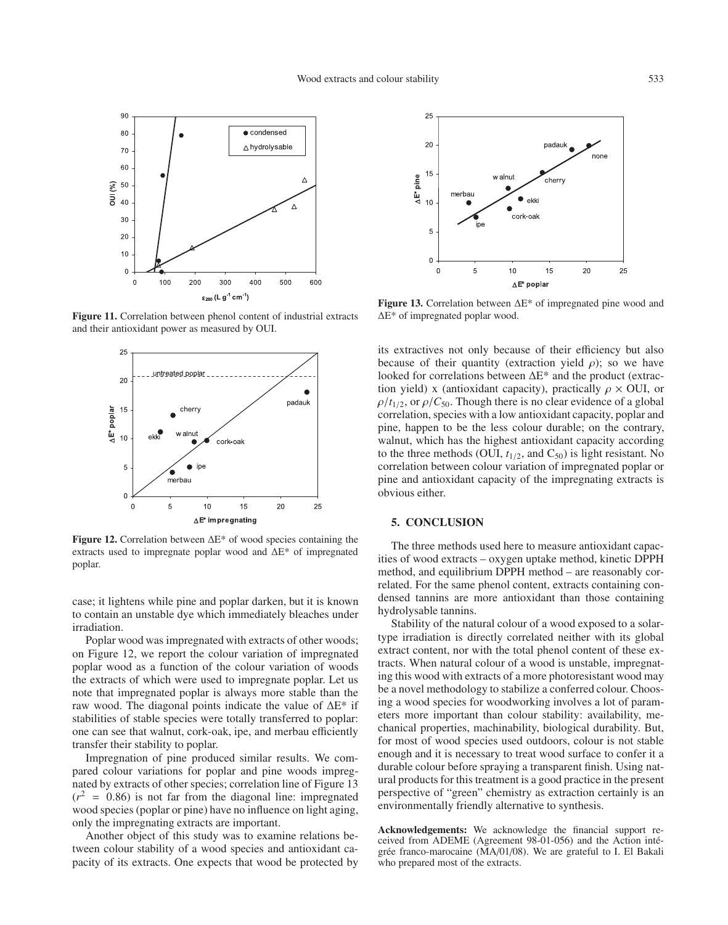

**Figure 11.** Correlation between phenol content of industrial extracts and their antioxidant power as measured by OUI.



**Figure 12.** Correlation between ∆E\* of wood species containing the extracts used to impregnate poplar wood and ∆E\* of impregnated poplar.

case; it lightens while pine and poplar darken, but it is known to contain an unstable dye which immediately bleaches under irradiation.

Poplar wood was impregnated with extracts of other woods; on Figure 12, we report the colour variation of impregnated poplar wood as a function of the colour variation of woods the extracts of which were used to impregnate poplar. Let us note that impregnated poplar is always more stable than the raw wood. The diagonal points indicate the value of ∆E\* if stabilities of stable species were totally transferred to poplar: one can see that walnut, cork-oak, ipe, and merbau efficiently transfer their stability to poplar.

Impregnation of pine produced similar results. We compared colour variations for poplar and pine woods impregnated by extracts of other species; correlation line of Figure 13  $(r^2 = 0.86)$  is not far from the diagonal line: impregnated wood species (poplar or pine) have no influence on light aging, only the impregnating extracts are important.

Another object of this study was to examine relations between colour stability of a wood species and antioxidant capacity of its extracts. One expects that wood be protected by



**Figure 13.** Correlation between ∆E\* of impregnated pine wood and ∆E\* of impregnated poplar wood.

its extractives not only because of their efficiency but also because of their quantity (extraction yield  $\rho$ ); so we have looked for correlations between ∆E\* and the product (extraction yield) x (antioxidant capacity), practically  $\rho \times$  OUI, or  $\rho/t_{1/2}$ , or  $\rho/C_{50}$ . Though there is no clear evidence of a global correlation, species with a low antioxidant capacity, poplar and pine, happen to be the less colour durable; on the contrary, walnut, which has the highest antioxidant capacity according to the three methods (OUI,  $t_{1/2}$ , and  $C_{50}$ ) is light resistant. No correlation between colour variation of impregnated poplar or pine and antioxidant capacity of the impregnating extracts is obvious either.

## **5. CONCLUSION**

The three methods used here to measure antioxidant capacities of wood extracts – oxygen uptake method, kinetic DPPH method, and equilibrium DPPH method – are reasonably correlated. For the same phenol content, extracts containing condensed tannins are more antioxidant than those containing hydrolysable tannins.

Stability of the natural colour of a wood exposed to a solartype irradiation is directly correlated neither with its global extract content, nor with the total phenol content of these extracts. When natural colour of a wood is unstable, impregnating this wood with extracts of a more photoresistant wood may be a novel methodology to stabilize a conferred colour. Choosing a wood species for woodworking involves a lot of parameters more important than colour stability: availability, mechanical properties, machinability, biological durability. But, for most of wood species used outdoors, colour is not stable enough and it is necessary to treat wood surface to confer it a durable colour before spraying a transparent finish. Using natural products for this treatment is a good practice in the present perspective of "green" chemistry as extraction certainly is an environmentally friendly alternative to synthesis.

**Acknowledgements:** We acknowledge the financial support received from ADEME (Agreement 98-01-056) and the Action intégrée franco-marocaine (MA/01/08). We are grateful to I. El Bakali who prepared most of the extracts.